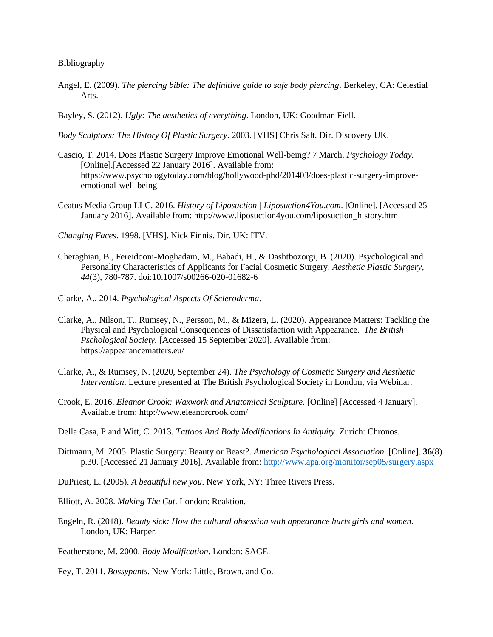## Bibliography

- Angel, E. (2009). *The piercing bible: The definitive guide to safe body piercing*. Berkeley, CA: Celestial Arts.
- Bayley, S. (2012). *Ugly: The aesthetics of everything*. London, UK: Goodman Fiell.

*Body Sculptors: The History Of Plastic Surgery*. 2003. [VHS] Chris Salt. Dir. Discovery UK.

- Cascio, T. 2014. Does Plastic Surgery Improve Emotional Well-being? 7 March. *Psychology Today.* [Online].[Accessed 22 January 2016]. Available from: https://www.psychologytoday.com/blog/hollywood-phd/201403/does-plastic-surgery-improveemotional-well-being
- Ceatus Media Group LLC. 2016. *History of Liposuction | Liposuction4You.com*. [Online]. [Accessed 25 January 2016]. Available from: http://www.liposuction4you.com/liposuction\_history.htm

*Changing Faces*. 1998. [VHS]. Nick Finnis. Dir. UK: ITV.

- Cheraghian, B., Fereidooni-Moghadam, M., Babadi, H., & Dashtbozorgi, B. (2020). Psychological and Personality Characteristics of Applicants for Facial Cosmetic Surgery. *Aesthetic Plastic Surgery, 44*(3), 780-787. doi:10.1007/s00266-020-01682-6
- Clarke, A., 2014. *Psychological Aspects Of Scleroderma*.
- Clarke, A., Nilson, T., Rumsey, N., Persson, M., & Mizera, L. (2020). Appearance Matters: Tackling the Physical and Psychological Consequences of Dissatisfaction with Appearance. *The British Pschological Society.* [Accessed 15 September 2020]. Available from: https://appearancematters.eu/
- Clarke, A., & Rumsey, N. (2020, September 24). *The Psychology of Cosmetic Surgery and Aesthetic Intervention*. Lecture presented at The British Psychological Society in London, via Webinar.
- Crook, E. 2016. *Eleanor Crook: Waxwork and Anatomical Sculpture.* [Online] [Accessed 4 January]. Available from: http://www.eleanorcrook.com/
- Della Casa, P and Witt, C. 2013. *Tattoos And Body Modifications In Antiquity*. Zurich: Chronos.
- Dittmann, M. 2005. Plastic Surgery: Beauty or Beast?. *American Psychological Association.* [Online]. **36**(8) p.30. [Accessed 21 January 2016]. Available from:<http://www.apa.org/monitor/sep05/surgery.aspx>
- DuPriest, L. (2005). *A beautiful new you*. New York, NY: Three Rivers Press.
- Elliott, A. 2008. *Making The Cut*. London: Reaktion.
- Engeln, R. (2018). *Beauty sick: How the cultural obsession with appearance hurts girls and women*. London, UK: Harper.

Featherstone, M. 2000. *Body Modification*. London: SAGE.

Fey, T. 2011. *Bossypants*. New York: Little, Brown, and Co.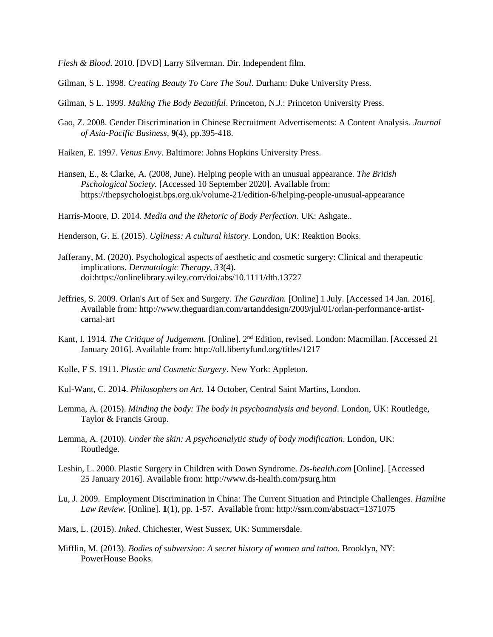*Flesh & Blood*. 2010. [DVD] Larry Silverman. Dir. Independent film.

Gilman, S L. 1998. *Creating Beauty To Cure The Soul*. Durham: Duke University Press.

Gilman, S L. 1999. *Making The Body Beautiful*. Princeton, N.J.: Princeton University Press.

- Gao, Z. 2008. Gender Discrimination in Chinese Recruitment Advertisements: A Content Analysis*. Journal of Asia-Pacific Business*, **9**(4), pp.395-418.
- Haiken, E. 1997. *Venus Envy*. Baltimore: Johns Hopkins University Press.
- Hansen, E., & Clarke, A. (2008, June). Helping people with an unusual appearance. *The British Pschological Society.* [Accessed 10 September 2020]. Available from: https://thepsychologist.bps.org.uk/volume-21/edition-6/helping-people-unusual-appearance

Harris-Moore, D. 2014. *Media and the Rhetoric of Body Perfection*. UK: Ashgate..

Henderson, G. E. (2015). *Ugliness: A cultural history*. London, UK: Reaktion Books.

- Jafferany, M. (2020). Psychological aspects of aesthetic and cosmetic surgery: Clinical and therapeutic implications. *Dermatologic Therapy, 33*(4). doi:https://onlinelibrary.wiley.com/doi/abs/10.1111/dth.13727
- Jeffries, S. 2009. Orlan's Art of Sex and Surgery. *The Gaurdian.* [Online] 1 July. [Accessed 14 Jan. 2016]. Available from: http://www.theguardian.com/artanddesign/2009/jul/01/orlan-performance-artistcarnal-art
- Kant, I. 1914. *The Critique of Judgement.* [Online]. 2nd Edition, revised. London: Macmillan. [Accessed 21 January 2016]. Available from: http://oll.libertyfund.org/titles/1217
- Kolle, F S. 1911. *Plastic and Cosmetic Surgery*. New York: Appleton.
- Kul-Want, C. 2014. *Philosophers on Art.* 14 October, Central Saint Martins, London.
- Lemma, A. (2015). *Minding the body: The body in psychoanalysis and beyond*. London, UK: Routledge, Taylor & Francis Group.
- Lemma, A. (2010). *Under the skin: A psychoanalytic study of body modification*. London, UK: Routledge.
- Leshin, L. 2000. Plastic Surgery in Children with Down Syndrome. *Ds-health.com* [Online]. [Accessed 25 January 2016]. Available from: http://www.ds-health.com/psurg.htm
- Lu, J. 2009. Employment Discrimination in China: The Current Situation and Principle Challenges. *Hamline Law Review.* [Online]. **1**(1), pp. 1-57. Available from: http://ssrn.com/abstract=1371075
- Mars, L. (2015). *Inked*. Chichester, West Sussex, UK: Summersdale.
- Mifflin, M. (2013). *Bodies of subversion: A secret history of women and tattoo*. Brooklyn, NY: PowerHouse Books.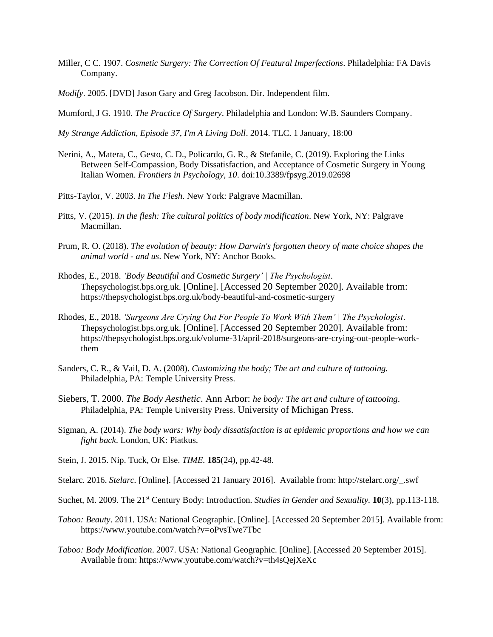- Miller, C C. 1907. *Cosmetic Surgery: The Correction Of Featural Imperfections*. Philadelphia: FA Davis Company.
- *Modify*. 2005. [DVD] Jason Gary and Greg Jacobson. Dir. Independent film.
- Mumford, J G. 1910. *The Practice Of Surgery*. Philadelphia and London: W.B. Saunders Company.

*My Strange Addiction, Episode 37, I'm A Living Doll*. 2014. TLC. 1 January, 18:00

- Nerini, A., Matera, C., Gesto, C. D., Policardo, G. R., & Stefanile, C. (2019). Exploring the Links Between Self-Compassion, Body Dissatisfaction, and Acceptance of Cosmetic Surgery in Young Italian Women. *Frontiers in Psychology, 10*. doi:10.3389/fpsyg.2019.02698
- Pitts-Taylor, V. 2003. *In The Flesh*. New York: Palgrave Macmillan.
- Pitts, V. (2015). *In the flesh: The cultural politics of body modification*. New York, NY: Palgrave Macmillan.
- Prum, R. O. (2018). *The evolution of beauty: How Darwin's forgotten theory of mate choice shapes the animal world - and us*. New York, NY: Anchor Books.
- Rhodes, E., 2018. *'Body Beautiful and Cosmetic Surgery' | The Psychologist*. Thepsychologist.bps.org.uk. [Online]. [Accessed 20 September 2020]. Available from: https://thepsychologist.bps.org.uk/body-beautiful-and-cosmetic-surgery
- Rhodes, E., 2018. *'Surgeons Are Crying Out For People To Work With Them' | The Psychologist*. Thepsychologist.bps.org.uk. [Online]. [Accessed 20 September 2020]. Available from: https://thepsychologist.bps.org.uk/volume-31/april-2018/surgeons-are-crying-out-people-workthem
- Sanders, C. R., & Vail, D. A. (2008). *Customizing the body; The art and culture of tattooing.*  Philadelphia, PA: Temple University Press.
- Siebers, T. 2000. *The Body Aesthetic*. Ann Arbor: *he body: The art and culture of tattooing*. Philadelphia, PA: Temple University Press. University of Michigan Press.
- Sigman, A. (2014). *The body wars: Why body dissatisfaction is at epidemic proportions and how we can fight back*. London, UK: Piatkus.
- Stein, J. 2015. Nip. Tuck, Or Else. *TIME.* **185**(24), pp.42-48.
- Stelarc. 2016. *Stelarc.* [Online]. [Accessed 21 January 2016]. Available from: http://stelarc.org/\_.swf
- Suchet, M. 2009. The 21st Century Body: Introduction. *Studies in Gender and Sexuality.* **10**(3), pp.113-118.
- *Taboo: Beauty*. 2011. USA: National Geographic. [Online]. [Accessed 20 September 2015]. Available from: https://www.youtube.com/watch?v=oPvsTwe7Tbc
- *Taboo: Body Modification*. 2007. USA: National Geographic. [Online]. [Accessed 20 September 2015]. Available from: https://www.youtube.com/watch?v=th4sQejXeXc